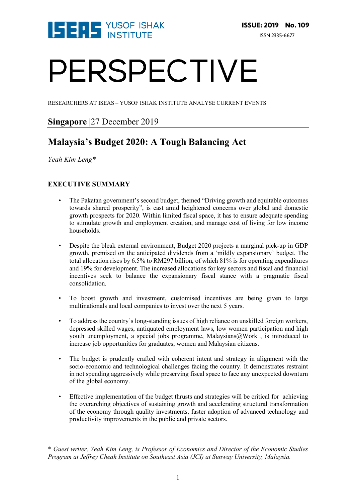

# PERSPECTIVE

RESEARCHERS AT ISEAS – YUSOF ISHAK INSTITUTE ANALYSE CURRENT EVENTS

### **Singapore** |27 December 2019

## **Malaysia's Budget 2020: A Tough Balancing Act**

*Yeah Kim Leng\**

#### **EXECUTIVE SUMMARY**

- The Pakatan government's second budget, themed "Driving growth and equitable outcomes towards shared prosperity", is cast amid heightened concerns over global and domestic growth prospects for 2020. Within limited fiscal space, it has to ensure adequate spending to stimulate growth and employment creation, and manage cost of living for low income households.
- Despite the bleak external environment, Budget 2020 projects a marginal pick-up in GDP growth, premised on the anticipated dividends from a 'mildly expansionary' budget. The total allocation rises by 6.5% to RM297 billion, of which 81% is for operating expenditures and 19% for development. The increased allocations for key sectors and fiscal and financial incentives seek to balance the expansionary fiscal stance with a pragmatic fiscal consolidation.
- To boost growth and investment, customised incentives are being given to large multinationals and local companies to invest over the next 5 years.
- To address the country's long-standing issues of high reliance on unskilled foreign workers, depressed skilled wages, antiquated employment laws, low women participation and high youth unemployment, a special jobs programme, Malaysians@Work, is introduced to increase job opportunities for graduates, women and Malaysian citizens.
- The budget is prudently crafted with coherent intent and strategy in alignment with the socio-economic and technological challenges facing the country. It demonstrates restraint in not spending aggressively while preserving fiscal space to face any unexpected downturn of the global economy.
- Effective implementation of the budget thrusts and strategies will be critical for achieving the overarching objectives of sustaining growth and accelerating structural transformation of the economy through quality investments, faster adoption of advanced technology and productivity improvements in the public and private sectors.

\* *Guest writer, Yeah Kim Leng, is Professor of Economics and Director of the Economic Studies Program at Jeffrey Cheah Institute on Southeast Asia (JCI) at Sunway University, Malaysia.*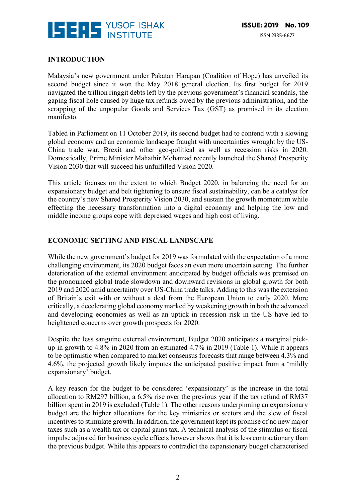

#### **INTRODUCTION**

Malaysia's new government under Pakatan Harapan (Coalition of Hope) has unveiled its second budget since it won the May 2018 general election. Its first budget for 2019 navigated the trillion ringgit debts left by the previous government's financial scandals, the gaping fiscal hole caused by huge tax refunds owed by the previous administration, and the scrapping of the unpopular Goods and Services Tax (GST) as promised in its election manifesto.

Tabled in Parliament on 11 October 2019, its second budget had to contend with a slowing global economy and an economic landscape fraught with uncertainties wrought by the US-China trade war, Brexit and other geo-political as well as recession risks in 2020. Domestically, Prime Minister Mahathir Mohamad recently launched the Shared Prosperity Vision 2030 that will succeed his unfulfilled Vision 2020.

This article focuses on the extent to which Budget 2020, in balancing the need for an expansionary budget and belt tightening to ensure fiscal sustainability, can be a catalyst for the country's new Shared Prosperity Vision 2030, and sustain the growth momentum while effecting the necessary transformation into a digital economy and helping the low and middle income groups cope with depressed wages and high cost of living.

#### **ECONOMIC SETTING AND FISCAL LANDSCAPE**

While the new government's budget for 2019 was formulated with the expectation of a more challenging environment, its 2020 budget faces an even more uncertain setting. The further deterioration of the external environment anticipated by budget officials was premised on the pronounced global trade slowdown and downward revisions in global growth for both 2019 and 2020 amid uncertainty over US-China trade talks. Adding to this was the extension of Britain's exit with or without a deal from the European Union to early 2020. More critically, a decelerating global economy marked by weakening growth in both the advanced and developing economies as well as an uptick in recession risk in the US have led to heightened concerns over growth prospects for 2020.

Despite the less sanguine external environment, Budget 2020 anticipates a marginal pickup in growth to 4.8% in 2020 from an estimated 4.7% in 2019 (Table 1). While it appears to be optimistic when compared to market consensus forecasts that range between 4.3% and 4.6%, the projected growth likely imputes the anticipated positive impact from a 'mildly expansionary' budget.

A key reason for the budget to be considered 'expansionary' is the increase in the total allocation to RM297 billion, a 6.5% rise over the previous year if the tax refund of RM37 billion spent in 2019 is excluded (Table 1). The other reasons underpinning an expansionary budget are the higher allocations for the key ministries or sectors and the slew of fiscal incentives to stimulate growth. In addition, the government kept its promise of no new major taxes such as a wealth tax or capital gains tax. A technical analysis of the stimulus or fiscal impulse adjusted for business cycle effects however shows that it is less contractionary than the previous budget. While this appears to contradict the expansionary budget characterised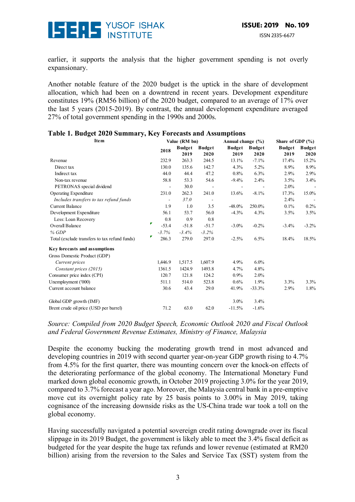

earlier, it supports the analysis that the higher government spending is not overly expansionary.

Another notable feature of the 2020 budget is the uptick in the share of development allocation, which had been on a downtrend in recent years. Development expenditure constitutes 19% (RM56 billion) of the 2020 budget, compared to an average of 17% over the last 5 years (2015-2019). By contrast, the annual development expenditure averaged 27% of total government spending in the 1990s and 2000s.

| <b>Item</b>                                   | Value (RM bn) |         |               |                          | Annual change (%) |               | Share of GDP $(\% )$ |               |
|-----------------------------------------------|---------------|---------|---------------|--------------------------|-------------------|---------------|----------------------|---------------|
|                                               |               | 2018    | <b>Budget</b> | <b>Budget</b>            | <b>Budget</b>     | <b>Budget</b> | <b>Budget</b>        | <b>Budget</b> |
|                                               |               |         | 2019          | 2020                     | 2019              | 2020          | 2019                 | 2020          |
| Revenue                                       |               | 232.9   | 263.3         | 244.5                    | 13.1%             | $-7.1%$       | 17.4%                | 15.2%         |
| Direct tax                                    |               | 130.0   | 135.6         | 142.7                    | 4.3%              | $5.2\%$       | 8.9%                 | $8.9\%$       |
| Indirect tax                                  |               | 44.0    | 44.4          | 47.2                     | 0.8%              | 6.3%          | 2.9%                 | 2.9%          |
| Non-tax revenue                               |               | 58.8    | 53.3          | 54.6                     | $-9.4\%$          | 2.4%          | 3.5%                 | $3.4\%$       |
| PETRONAS special dividend                     |               |         | 30.0          |                          |                   |               | 2.0%                 |               |
| <b>Operating Expenditure</b>                  |               | 231.0   | 262.3         | 241.0                    | 13.6%             | $-8.1%$       | 17.3%                | 15.0%         |
| Includes transfers to tax refund funds        |               |         | 37.0          | $\overline{\phantom{a}}$ |                   |               | 2.4%                 |               |
| <b>Current Balance</b>                        |               | 1.9     | 1.0           | 3.5                      | $-48.0\%$         | 250.0%        | 0.1%                 | $0.2\%$       |
| Development Expenditure                       |               | 56.1    | 53.7          | 56.0                     | $-4.3%$           | 4.3%          | 3.5%                 | 3.5%          |
| Less: Loan Recovery                           |               | 0.8     | 0.9           | 0.8                      |                   |               |                      |               |
| Overall Balance                               | ₹             | $-53.4$ | $-51.8$       | $-51.7$                  | $-3.0\%$          | $-0.2%$       | $-3.4%$              | $-3.2\%$      |
| % GDP                                         |               | $-3.7%$ | $-3.4%$       | $-3.2%$                  |                   |               |                      |               |
| Total (exclude transfers to tax refund funds) | ₹             | 286.3   | 279.0         | 297.0                    | $-2.5%$           | 6.5%          | 18.4%                | 18.5%         |
| Key forecasts and assumptions                 |               |         |               |                          |                   |               |                      |               |
| Gross Domestic Product (GDP)                  |               |         |               |                          |                   |               |                      |               |
| Current prices                                |               | 1,446.9 | 1,517.5       | 1,607.9                  | 4.9%              | $6.0\%$       |                      |               |
| Constant prices (2015)                        |               | 1361.5  | 1424.9        | 1493.8                   | 4.7%              | 4.8%          |                      |               |
| Consumer price index (CPI)                    |               | 120.7   | 121.8         | 124.2                    | $0.9\%$           | $2.0\%$       |                      |               |
| Unemployment ('000)                           |               | 511.1   | 514.0         | 523.8                    | 0.6%              | 1.9%          | 3.3%                 | 3.3%          |
| Current account balance                       |               | 30.6    | 43.4          | 29.0                     | 41.9%             | $-33.3%$      | 2.9%                 | 1.8%          |
| Global GDP growth (IMF)                       |               |         |               |                          | $3.0\%$           | 3.4%          |                      |               |
| Brent crude oil price (USD per barrel)        |               | 71.2    | 63.0          | 62.0                     | $-11.5%$          | $-1.6%$       |                      |               |

#### **Table 1. Budget 2020 Summary, Key Forecasts and Assumptions**

*Source: Compiled from 2020 Budget Speech, Economic Outlook 2020 and Fiscal Outlook and Federal Government Revenue Estimates, Ministry of Finance, Malaysia*

Despite the economy bucking the moderating growth trend in most advanced and developing countries in 2019 with second quarter year-on-year GDP growth rising to 4.7% from 4.5% for the first quarter, there was mounting concern over the knock-on effects of the deteriorating performance of the global economy. The International Monetary Fund marked down global economic growth, in October 2019 projecting 3.0% for the year 2019, compared to 3.7% forecast a year ago. Moreover, the Malaysia central bank in a pre-emptive move cut its overnight policy rate by 25 basis points to 3.00% in May 2019, taking cognisance of the increasing downside risks as the US-China trade war took a toll on the global economy.

Having successfully navigated a potential sovereign credit rating downgrade over its fiscal slippage in its 2019 Budget, the government is likely able to meet the 3.4% fiscal deficit as budgeted for the year despite the huge tax refunds and lower revenue (estimated at RM20 billion) arising from the reversion to the Sales and Service Tax (SST) system from the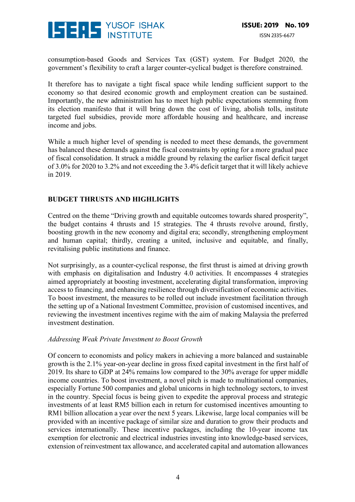

consumption-based Goods and Services Tax (GST) system. For Budget 2020, the government's flexibility to craft a larger counter-cyclical budget is therefore constrained.

It therefore has to navigate a tight fiscal space while lending sufficient support to the economy so that desired economic growth and employment creation can be sustained. Importantly, the new administration has to meet high public expectations stemming from its election manifesto that it will bring down the cost of living, abolish tolls, institute targeted fuel subsidies, provide more affordable housing and healthcare, and increase income and jobs.

While a much higher level of spending is needed to meet these demands, the government has balanced these demands against the fiscal constraints by opting for a more gradual pace of fiscal consolidation. It struck a middle ground by relaxing the earlier fiscal deficit target of 3.0% for 2020 to 3.2% and not exceeding the 3.4% deficit target that it will likely achieve in 2019.

#### **BUDGET THRUSTS AND HIGHLIGHTS**

Centred on the theme "Driving growth and equitable outcomes towards shared prosperity", the budget contains 4 thrusts and 15 strategies. The 4 thrusts revolve around, firstly, boosting growth in the new economy and digital era; secondly, strengthening employment and human capital; thirdly, creating a united, inclusive and equitable, and finally, revitalising public institutions and finance.

Not surprisingly, as a counter-cyclical response, the first thrust is aimed at driving growth with emphasis on digitalisation and Industry 4.0 activities. It encompasses 4 strategies aimed appropriately at boosting investment, accelerating digital transformation, improving access to financing, and enhancing resilience through diversification of economic activities. To boost investment, the measures to be rolled out include investment facilitation through the setting up of a National Investment Committee, provision of customised incentives, and reviewing the investment incentives regime with the aim of making Malaysia the preferred investment destination.

#### *Addressing Weak Private Investment to Boost Growth*

Of concern to economists and policy makers in achieving a more balanced and sustainable growth is the 2.1% year-on-year decline in gross fixed capital investment in the first half of 2019. Its share to GDP at 24% remains low compared to the 30% average for upper middle income countries. To boost investment, a novel pitch is made to multinational companies, especially Fortune 500 companies and global unicorns in high technology sectors, to invest in the country. Special focus is being given to expedite the approval process and strategic investments of at least RM5 billion each in return for customised incentives amounting to RM1 billion allocation a year over the next 5 years. Likewise, large local companies will be provided with an incentive package of similar size and duration to grow their products and services internationally. These incentive packages, including the 10-year income tax exemption for electronic and electrical industries investing into knowledge-based services, extension of reinvestment tax allowance, and accelerated capital and automation allowances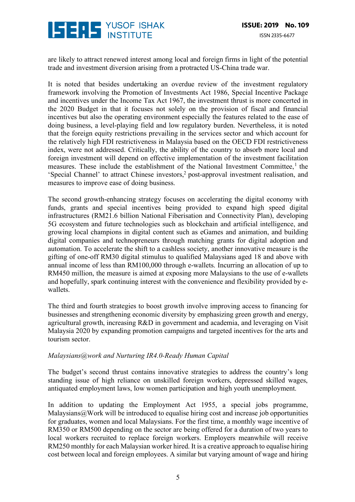

are likely to attract renewed interest among local and foreign firms in light of the potential trade and investment diversion arising from a protracted US-China trade war.

It is noted that besides undertaking an overdue review of the investment regulatory framework involving the Promotion of Investments Act 1986, Special Incentive Package and incentives under the Income Tax Act 1967, the investment thrust is more concerted in the 2020 Budget in that it focuses not solely on the provision of fiscal and financial incentives but also the operating environment especially the features related to the ease of doing business, a level-playing field and low regulatory burden. Nevertheless, it is noted that the foreign equity restrictions prevailing in the services sector and which account for the relatively high FDI restrictiveness in Malaysia based on the OECD FDI restrictiveness index, were not addressed. Critically, the ability of the country to absorb more local and foreign investment will depend on effective implementation of the investment facilitation measures. These include the establishment of the National Investment Committee, <sup>1</sup> the 'Special Channel' to attract Chinese investors, <sup>2</sup> post-approval investment realisation, and measures to improve ease of doing business.

The second growth-enhancing strategy focuses on accelerating the digital economy with funds, grants and special incentives being provided to expand high speed digital infrastructures (RM21.6 billion National Fiberisation and Connectivity Plan), developing 5G ecosystem and future technologies such as blockchain and artificial intelligence, and growing local champions in digital content such as eGames and animation, and building digital companies and technopreneurs through matching grants for digital adoption and automation. To accelerate the shift to a cashless society, another innovative measure is the gifting of one-off RM30 digital stimulus to qualified Malaysians aged 18 and above with annual income of less than RM100,000 through e-wallets. Incurring an allocation of up to RM450 million, the measure is aimed at exposing more Malaysians to the use of e-wallets and hopefully, spark continuing interest with the convenience and flexibility provided by ewallets.

The third and fourth strategies to boost growth involve improving access to financing for businesses and strengthening economic diversity by emphasizing green growth and energy, agricultural growth, increasing R&D in government and academia, and leveraging on Visit Malaysia 2020 by expanding promotion campaigns and targeted incentives for the arts and tourism sector.

#### *Malaysians@work and Nurturing IR4.0-Ready Human Capital*

The budget's second thrust contains innovative strategies to address the country's long standing issue of high reliance on unskilled foreign workers, depressed skilled wages, antiquated employment laws, low women participation and high youth unemployment.

In addition to updating the Employment Act 1955, a special jobs programme, Malaysians $@$ Work will be introduced to equalise hiring cost and increase job opportunities for graduates, women and local Malaysians. For the first time, a monthly wage incentive of RM350 or RM500 depending on the sector are being offered for a duration of two years to local workers recruited to replace foreign workers. Employers meanwhile will receive RM250 monthly for each Malaysian worker hired. It is a creative approach to equalise hiring cost between local and foreign employees. A similar but varying amount of wage and hiring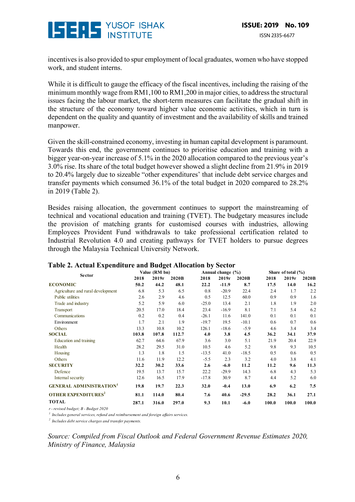

incentives is also provided to spur employment of local graduates, women who have stopped work, and student interns.

While it is difficult to gauge the efficacy of the fiscal incentives, including the raising of the minimum monthly wage from RM1,100 to RM1,200 in major cities, to address the structural issues facing the labour market, the short-term measures can facilitate the gradual shift in the structure of the economy toward higher value economic activities, which in turn is dependent on the quality and quantity of investment and the availability of skills and trained manpower.

Given the skill-constrained economy, investing in human capital development is paramount. Towards this end, the government continues to prioritise education and training with a bigger year-on-year increase of 5.1% in the 2020 allocation compared to the previous year's 3.0% rise. Its share of the total budget however showed a slight decline from 21.9% in 2019 to 20.4% largely due to sizeable "other expenditures' that include debt service charges and transfer payments which consumed 36.1% of the total budget in 2020 compared to 28.2% in 2019 (Table 2).

Besides raising allocation, the government continues to support the mainstreaming of technical and vocational education and training (TVET). The budgetary measures include the provision of matching grants for customised courses with industries, allowing Employees Provident Fund withdrawals to take professional certification related to Industrial Revolution 4.0 and creating pathways for TVET holders to pursue degrees through the Malaysia Technical University Network.

| л.                                     |               |       |       |                   |         |         |                        |       |       |  |
|----------------------------------------|---------------|-------|-------|-------------------|---------|---------|------------------------|-------|-------|--|
| <b>Sector</b>                          | Value (RM bn) |       |       | Annual change (%) |         |         | Share of total $(\% )$ |       |       |  |
|                                        | 2018          | 2019r | 2020B | 2018              | 2019r   | 2020B   | 2018                   | 2019r | 2020B |  |
| <b>ECONOMIC</b>                        | 50.2          | 44.2  | 48.1  | 22.2              | $-11.9$ | 8.7     | 17.5                   | 14.0  | 16.2  |  |
| Agriculture and rural development      | 6.8           | 5.3   | 6.5   | 0.8               | $-20.9$ | 22.4    | 2.4                    | 1.7   | 2.2   |  |
| Public utilities                       | 2.6           | 2.9   | 4.6   | 0.5               | 12.5    | 60.0    | 0.9                    | 0.9   | 1.6   |  |
| Trade and industry                     | 5.2           | 5.9   | 6.0   | $-25.0$           | 13.4    | 2.1     | 1.8                    | 1.9   | 2.0   |  |
| Transport                              | 20.5          | 17.0  | 18.4  | 23.4              | $-16.9$ | 8.1     | 7.1                    | 5.4   | 6.2   |  |
| Communications                         | 0.2           | 0.2   | 0.4   | $-26.1$           | 11.6    | 141.0   | 0.1                    | 0.1   | 0.1   |  |
| Environment                            | 1.7           | 2.1   | 1.9   | $-19.7$           | 19.5    | $-10.1$ | 0.6                    | 0.7   | 0.6   |  |
| Others                                 | 13.3          | 10.8  | 10.2  | 126.1             | $-18.6$ | $-5.9$  | 4.6                    | 3.4   | 3.4   |  |
| <b>SOCIAL</b>                          | 103.8         | 107.8 | 112.7 | 4.0               | 3.8     | 4.5     | 36.2                   | 34.1  | 37.9  |  |
| Education and training                 | 62.7          | 64.6  | 67.9  | 3.6               | 3.0     | 5.1     | 21.9                   | 20.4  | 22.9  |  |
| Health                                 | 28.2          | 29.5  | 31.0  | 10.5              | 4.6     | 5.2     | 9.8                    | 9.3   | 10.5  |  |
| Housing                                | 1.3           | 1.8   | 1.5   | $-13.5$           | 41.0    | $-18.5$ | 0.5                    | 0.6   | 0.5   |  |
| Others                                 | 11.6          | 11.9  | 12.2  | $-5.5$            | 2.3     | 3.2     | 4.0                    | 3.8   | 4.1   |  |
| <b>SECURITY</b>                        | 32.2          | 30.2  | 33.6  | 2.6               | $-6.0$  | 11.2    | 11.2                   | 9.6   | 11.3  |  |
| Defence                                | 19.5          | 13.7  | 15.7  | 22.2              | $-29.9$ | 14.3    | 6.8                    | 4.3   | 5.3   |  |
| Internal security                      | 12.6          | 16.5  | 17.9  | $-17.8$           | 30.9    | 8.7     | 4.4                    | 5.2   | 6.0   |  |
| <b>GENERAL ADMINISTRATION</b>          | 19.8          | 19.7  | 22.3  | 32.0              | $-0.4$  | 13.0    | 6.9                    | 6.2   | 7.5   |  |
| <b>OTHER EXPENDITURES</b> <sup>2</sup> | 81.1          | 114.0 | 80.4  | 7.6               | 40.6    | $-29.5$ | 28.2                   | 36.1  | 27.1  |  |
| TOTAL                                  | 287.1         | 316.0 | 297.0 | 9.3               | 10.1    | $-6.0$  | 100.0                  | 100.0 | 100.0 |  |

#### **Table 2. Actual Expenditure and Budget Allocation by Sector**

*r - revised budget; B - Budget 2020*

*1 Includes general services, refund and reimbursement and foreign affairs services.*

*2 Includes debt service charges and transfer payments.*

*Source: Compiled from Fiscal Outlook and Federal Government Revenue Estimates 2020, Ministry of Finance, Malaysia*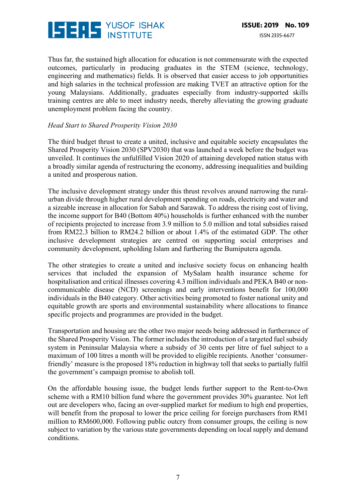

Thus far, the sustained high allocation for education is not commensurate with the expected outcomes, particularly in producing graduates in the STEM (science, technology, engineering and mathematics) fields. It is observed that easier access to job opportunities and high salaries in the technical profession are making TVET an attractive option for the young Malaysians. Additionally, graduates especially from industry-supported skills training centres are able to meet industry needs, thereby alleviating the growing graduate unemployment problem facing the country.

#### *Head Start to Shared Prosperity Vision 2030*

The third budget thrust to create a united, inclusive and equitable society encapsulates the Shared Prosperity Vision 2030 (SPV2030) that was launched a week before the budget was unveiled. It continues the unfulfilled Vision 2020 of attaining developed nation status with a broadly similar agenda of restructuring the economy, addressing inequalities and building a united and prosperous nation.

The inclusive development strategy under this thrust revolves around narrowing the ruralurban divide through higher rural development spending on roads, electricity and water and a sizeable increase in allocation for Sabah and Sarawak. To address the rising cost of living, the income support for B40 (Bottom 40%) households is further enhanced with the number of recipients projected to increase from 3.9 million to 5.0 million and total subsidies raised from RM22.3 billion to RM24.2 billion or about 1.4% of the estimated GDP. The other inclusive development strategies are centred on supporting social enterprises and community development, upholding Islam and furthering the Bumiputera agenda.

The other strategies to create a united and inclusive society focus on enhancing health services that included the expansion of MySalam health insurance scheme for hospitalisation and critical illnesses covering 4.3 million individuals and PEKA B40 or noncommunicable disease (NCD) screenings and early interventions benefit for 100,000 individuals in the B40 category. Other activities being promoted to foster national unity and equitable growth are sports and environmental sustainability where allocations to finance specific projects and programmes are provided in the budget.

Transportation and housing are the other two major needs being addressed in furtherance of the Shared Prosperity Vision. The former includes the introduction of a targeted fuel subsidy system in Peninsular Malaysia where a subsidy of 30 cents per litre of fuel subject to a maximum of 100 litres a month will be provided to eligible recipients. Another 'consumerfriendly' measure is the proposed 18% reduction in highway toll that seeks to partially fulfil the government's campaign promise to abolish toll.

On the affordable housing issue, the budget lends further support to the Rent-to-Own scheme with a RM10 billion fund where the government provides 30% guarantee. Not left out are developers who, facing an over-supplied market for medium to high end properties, will benefit from the proposal to lower the price ceiling for foreign purchasers from RM1 million to RM600,000. Following public outcry from consumer groups, the ceiling is now subject to variation by the various state governments depending on local supply and demand conditions.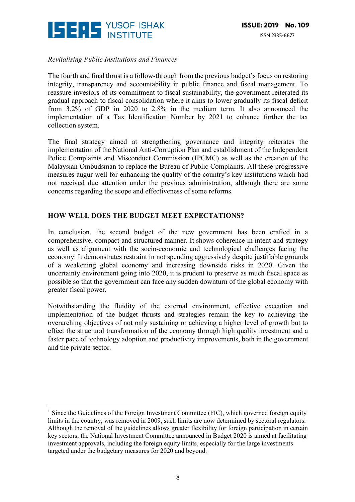

 

#### *Revitalising Public Institutions and Finances*

The fourth and final thrust is a follow-through from the previous budget's focus on restoring integrity, transparency and accountability in public finance and fiscal management. To reassure investors of its commitment to fiscal sustainability, the government reiterated its gradual approach to fiscal consolidation where it aims to lower gradually its fiscal deficit from 3.2% of GDP in 2020 to 2.8% in the medium term. It also announced the implementation of a Tax Identification Number by 2021 to enhance further the tax collection system.

The final strategy aimed at strengthening governance and integrity reiterates the implementation of the National Anti-Corruption Plan and establishment of the Independent Police Complaints and Misconduct Commission (IPCMC) as well as the creation of the Malaysian Ombudsman to replace the Bureau of Public Complaints. All these progressive measures augur well for enhancing the quality of the country's key institutions which had not received due attention under the previous administration, although there are some concerns regarding the scope and effectiveness of some reforms.

#### **HOW WELL DOES THE BUDGET MEET EXPECTATIONS?**

In conclusion, the second budget of the new government has been crafted in a comprehensive, compact and structured manner. It shows coherence in intent and strategy as well as alignment with the socio-economic and technological challenges facing the economy. It demonstrates restraint in not spending aggressively despite justifiable grounds of a weakening global economy and increasing downside risks in 2020. Given the uncertainty environment going into 2020, it is prudent to preserve as much fiscal space as possible so that the government can face any sudden downturn of the global economy with greater fiscal power.

Notwithstanding the fluidity of the external environment, effective execution and implementation of the budget thrusts and strategies remain the key to achieving the overarching objectives of not only sustaining or achieving a higher level of growth but to effect the structural transformation of the economy through high quality investment and a faster pace of technology adoption and productivity improvements, both in the government and the private sector.

<sup>&</sup>lt;sup>1</sup> Since the Guidelines of the Foreign Investment Committee (FIC), which governed foreign equity limits in the country, was removed in 2009, such limits are now determined by sectoral regulators. Although the removal of the guidelines allows greater flexibility for foreign participation in certain key sectors, the National Investment Committee announced in Budget 2020 is aimed at facilitating investment approvals, including the foreign equity limits, especially for the large investments targeted under the budgetary measures for 2020 and beyond.